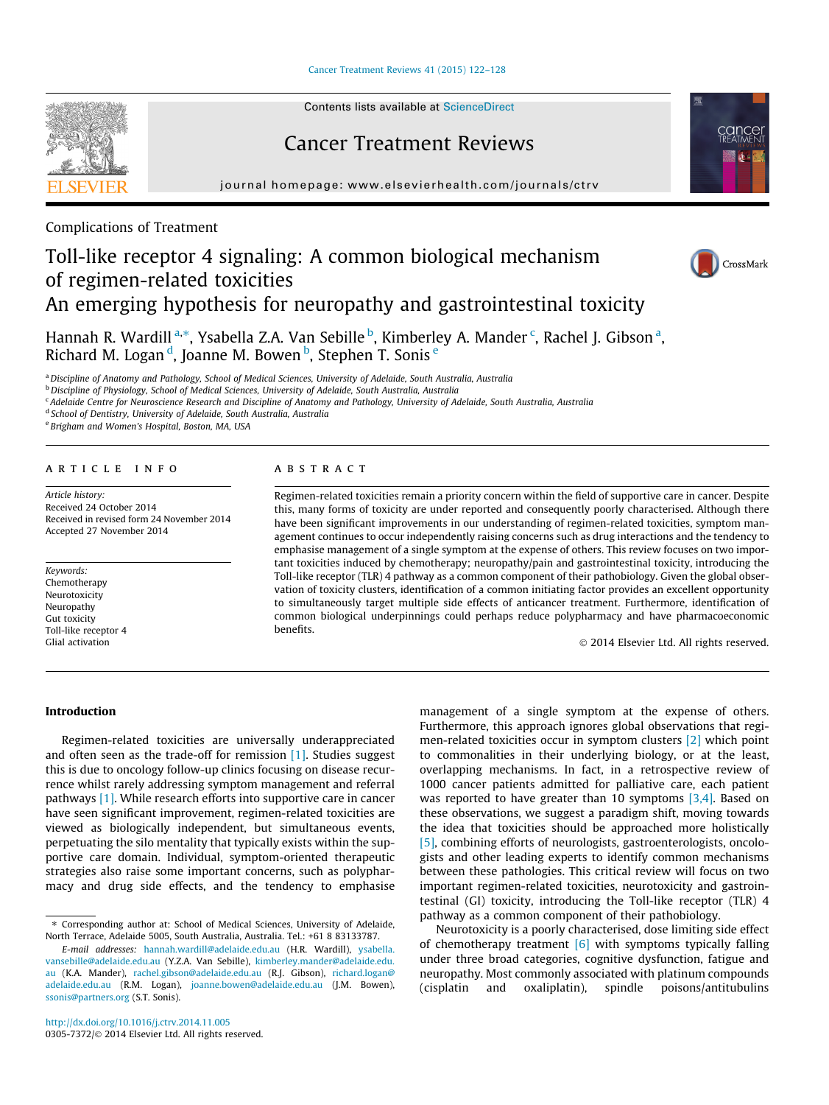[Cancer Treatment Reviews 41 \(2015\) 122–128](http://dx.doi.org/10.1016/j.ctrv.2014.11.005)

Contents lists available at [ScienceDirect](http://www.sciencedirect.com/science/journal/03057372)

# Cancer Treatment Reviews

journal homepage: [www.elsevierhealth.com/journals/ctrv](http://www.elsevierhealth.com/journals/ctrv)



Complications of Treatment

# Toll-like receptor 4 signaling: A common biological mechanism of regimen-related toxicities An emerging hypothesis for neuropathy and gastrointestinal toxicity





Hannah R. Wardill <sup>a,</sup>\*, Ysabella Z.A. Van Sebille <sup>b</sup>, Kimberley A. Mander <sup>c</sup>, Rachel J. Gibson <sup>a</sup>, Richard M. Logan <sup>d</sup>, Joanne M. Bowen <sup>b</sup>, Stephen T. Sonis <sup>e</sup>

a Discipline of Anatomy and Pathology, School of Medical Sciences, University of Adelaide, South Australia, Australia

<sup>b</sup> Discipline of Physiology, School of Medical Sciences, University of Adelaide, South Australia, Australia

<sup>c</sup> Adelaide Centre for Neuroscience Research and Discipline of Anatomy and Pathology, University of Adelaide, South Australia, Australia

<sup>d</sup> School of Dentistry, University of Adelaide, South Australia, Australia

<sup>e</sup> Brigham and Women's Hospital, Boston, MA, USA

# article info

Article history: Received 24 October 2014 Received in revised form 24 November 2014 Accepted 27 November 2014

Keywords: Chemotherapy Neurotoxicity Neuropathy Gut toxicity Toll-like receptor 4 Glial activation

# **ABSTRACT**

Regimen-related toxicities remain a priority concern within the field of supportive care in cancer. Despite this, many forms of toxicity are under reported and consequently poorly characterised. Although there have been significant improvements in our understanding of regimen-related toxicities, symptom management continues to occur independently raising concerns such as drug interactions and the tendency to emphasise management of a single symptom at the expense of others. This review focuses on two important toxicities induced by chemotherapy; neuropathy/pain and gastrointestinal toxicity, introducing the Toll-like receptor (TLR) 4 pathway as a common component of their pathobiology. Given the global observation of toxicity clusters, identification of a common initiating factor provides an excellent opportunity to simultaneously target multiple side effects of anticancer treatment. Furthermore, identification of common biological underpinnings could perhaps reduce polypharmacy and have pharmacoeconomic benefits.

- 2014 Elsevier Ltd. All rights reserved.

# Introduction

Regimen-related toxicities are universally underappreciated and often seen as the trade-off for remission [\[1\].](#page-5-0) Studies suggest this is due to oncology follow-up clinics focusing on disease recurrence whilst rarely addressing symptom management and referral pathways [\[1\]](#page-5-0). While research efforts into supportive care in cancer have seen significant improvement, regimen-related toxicities are viewed as biologically independent, but simultaneous events, perpetuating the silo mentality that typically exists within the supportive care domain. Individual, symptom-oriented therapeutic strategies also raise some important concerns, such as polypharmacy and drug side effects, and the tendency to emphasise management of a single symptom at the expense of others. Furthermore, this approach ignores global observations that regimen-related toxicities occur in symptom clusters [\[2\]](#page-5-0) which point to commonalities in their underlying biology, or at the least, overlapping mechanisms. In fact, in a retrospective review of 1000 cancer patients admitted for palliative care, each patient was reported to have greater than 10 symptoms  $[3,4]$ . Based on these observations, we suggest a paradigm shift, moving towards the idea that toxicities should be approached more holistically [\[5\]](#page-5-0), combining efforts of neurologists, gastroenterologists, oncologists and other leading experts to identify common mechanisms between these pathologies. This critical review will focus on two important regimen-related toxicities, neurotoxicity and gastrointestinal (GI) toxicity, introducing the Toll-like receptor (TLR) 4 pathway as a common component of their pathobiology.

Neurotoxicity is a poorly characterised, dose limiting side effect of chemotherapy treatment  $[6]$  with symptoms typically falling under three broad categories, cognitive dysfunction, fatigue and neuropathy. Most commonly associated with platinum compounds (cisplatin and oxaliplatin), spindle poisons/antitubulins

<sup>⇑</sup> Corresponding author at: School of Medical Sciences, University of Adelaide, North Terrace, Adelaide 5005, South Australia, Australia. Tel.: +61 8 83133787.

E-mail addresses: [hannah.wardill@adelaide.edu.au](mailto:hannah.wardill@adelaide.edu.au) (H.R. Wardill), [ysabella.](mailto:ysabella.vansebille@adelaide.edu.au) [vansebille@adelaide.edu.au](mailto:ysabella.vansebille@adelaide.edu.au) (Y.Z.A. Van Sebille), [kimberley.mander@adelaide.edu.](mailto:kimberley.mander@adelaide.edu.au) [au](mailto:kimberley.mander@adelaide.edu.au) (K.A. Mander), [rachel.gibson@adelaide.edu.au](mailto:rachel.gibson@adelaide.edu.au) (R.J. Gibson), [richard.logan@](mailto:richard.logan@ adelaide.edu.au) [adelaide.edu.au](mailto:richard.logan@ adelaide.edu.au) (R.M. Logan), [joanne.bowen@adelaide.edu.au](mailto:joanne.bowen@adelaide.edu.au) (J.M. Bowen), [ssonis@partners.org](mailto:          ssonis@partners.org) (S.T. Sonis).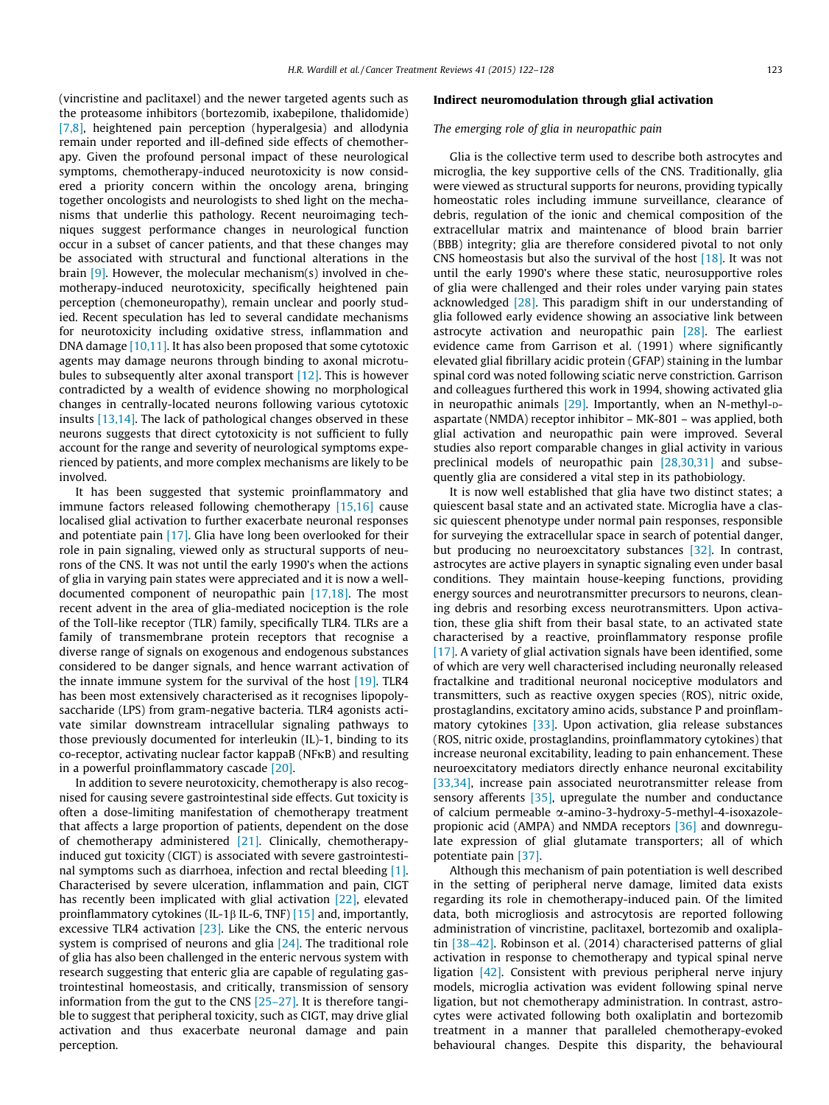(vincristine and paclitaxel) and the newer targeted agents such as the proteasome inhibitors (bortezomib, ixabepilone, thalidomide) [\[7,8\],](#page-5-0) heightened pain perception (hyperalgesia) and allodynia remain under reported and ill-defined side effects of chemotherapy. Given the profound personal impact of these neurological symptoms, chemotherapy-induced neurotoxicity is now considered a priority concern within the oncology arena, bringing together oncologists and neurologists to shed light on the mechanisms that underlie this pathology. Recent neuroimaging techniques suggest performance changes in neurological function occur in a subset of cancer patients, and that these changes may be associated with structural and functional alterations in the brain [\[9\].](#page-5-0) However, the molecular mechanism(s) involved in chemotherapy-induced neurotoxicity, specifically heightened pain perception (chemoneuropathy), remain unclear and poorly studied. Recent speculation has led to several candidate mechanisms for neurotoxicity including oxidative stress, inflammation and DNA damage [\[10,11\].](#page-5-0) It has also been proposed that some cytotoxic agents may damage neurons through binding to axonal microtubules to subsequently alter axonal transport [\[12\]](#page-5-0). This is however contradicted by a wealth of evidence showing no morphological changes in centrally-located neurons following various cytotoxic insults [\[13,14\]](#page-5-0). The lack of pathological changes observed in these neurons suggests that direct cytotoxicity is not sufficient to fully account for the range and severity of neurological symptoms experienced by patients, and more complex mechanisms are likely to be involved.

It has been suggested that systemic proinflammatory and immune factors released following chemotherapy [\[15,16\]](#page-5-0) cause localised glial activation to further exacerbate neuronal responses and potentiate pain [\[17\]](#page-5-0). Glia have long been overlooked for their role in pain signaling, viewed only as structural supports of neurons of the CNS. It was not until the early 1990's when the actions of glia in varying pain states were appreciated and it is now a welldocumented component of neuropathic pain [\[17,18\]](#page-5-0). The most recent advent in the area of glia-mediated nociception is the role of the Toll-like receptor (TLR) family, specifically TLR4. TLRs are a family of transmembrane protein receptors that recognise a diverse range of signals on exogenous and endogenous substances considered to be danger signals, and hence warrant activation of the innate immune system for the survival of the host [\[19\]](#page-5-0). TLR4 has been most extensively characterised as it recognises lipopolysaccharide (LPS) from gram-negative bacteria. TLR4 agonists activate similar downstream intracellular signaling pathways to those previously documented for interleukin (IL)-1, binding to its co-receptor, activating nuclear factor kappaB (NFKB) and resulting in a powerful proinflammatory cascade [\[20\]](#page-5-0).

In addition to severe neurotoxicity, chemotherapy is also recognised for causing severe gastrointestinal side effects. Gut toxicity is often a dose-limiting manifestation of chemotherapy treatment that affects a large proportion of patients, dependent on the dose of chemotherapy administered [\[21\]](#page-5-0). Clinically, chemotherapyinduced gut toxicity (CIGT) is associated with severe gastrointestinal symptoms such as diarrhoea, infection and rectal bleeding [\[1\].](#page-5-0) Characterised by severe ulceration, inflammation and pain, CIGT has recently been implicated with glial activation [\[22\]](#page-5-0), elevated proinflammatory cytokines (IL-1 $\beta$  IL-6, TNF) [\[15\]](#page-5-0) and, importantly, excessive TLR4 activation  $[23]$ . Like the CNS, the enteric nervous system is comprised of neurons and glia [\[24\]](#page-5-0). The traditional role of glia has also been challenged in the enteric nervous system with research suggesting that enteric glia are capable of regulating gastrointestinal homeostasis, and critically, transmission of sensory information from the gut to the CNS [\[25–27\].](#page-5-0) It is therefore tangible to suggest that peripheral toxicity, such as CIGT, may drive glial activation and thus exacerbate neuronal damage and pain perception.

# Indirect neuromodulation through glial activation

# The emerging role of glia in neuropathic pain

Glia is the collective term used to describe both astrocytes and microglia, the key supportive cells of the CNS. Traditionally, glia were viewed as structural supports for neurons, providing typically homeostatic roles including immune surveillance, clearance of debris, regulation of the ionic and chemical composition of the extracellular matrix and maintenance of blood brain barrier (BBB) integrity; glia are therefore considered pivotal to not only CNS homeostasis but also the survival of the host [\[18\]](#page-5-0). It was not until the early 1990's where these static, neurosupportive roles of glia were challenged and their roles under varying pain states acknowledged [\[28\].](#page-5-0) This paradigm shift in our understanding of glia followed early evidence showing an associative link between astrocyte activation and neuropathic pain [\[28\].](#page-5-0) The earliest evidence came from Garrison et al. (1991) where significantly elevated glial fibrillary acidic protein (GFAP) staining in the lumbar spinal cord was noted following sciatic nerve constriction. Garrison and colleagues furthered this work in 1994, showing activated glia in neuropathic animals  $[29]$ . Importantly, when an N-methyl-paspartate (NMDA) receptor inhibitor – MK-801 – was applied, both glial activation and neuropathic pain were improved. Several studies also report comparable changes in glial activity in various preclinical models of neuropathic pain [\[28,30,31\]](#page-5-0) and subsequently glia are considered a vital step in its pathobiology.

It is now well established that glia have two distinct states; a quiescent basal state and an activated state. Microglia have a classic quiescent phenotype under normal pain responses, responsible for surveying the extracellular space in search of potential danger, but producing no neuroexcitatory substances [\[32\]](#page-5-0). In contrast, astrocytes are active players in synaptic signaling even under basal conditions. They maintain house-keeping functions, providing energy sources and neurotransmitter precursors to neurons, cleaning debris and resorbing excess neurotransmitters. Upon activation, these glia shift from their basal state, to an activated state characterised by a reactive, proinflammatory response profile [\[17\]](#page-5-0). A variety of glial activation signals have been identified, some of which are very well characterised including neuronally released fractalkine and traditional neuronal nociceptive modulators and transmitters, such as reactive oxygen species (ROS), nitric oxide, prostaglandins, excitatory amino acids, substance P and proinflammatory cytokines [\[33\].](#page-5-0) Upon activation, glia release substances (ROS, nitric oxide, prostaglandins, proinflammatory cytokines) that increase neuronal excitability, leading to pain enhancement. These neuroexcitatory mediators directly enhance neuronal excitability [\[33,34\]](#page-5-0), increase pain associated neurotransmitter release from sensory afferents [\[35\],](#page-5-0) upregulate the number and conductance of calcium permeable a-amino-3-hydroxy-5-methyl-4-isoxazolepropionic acid (AMPA) and NMDA receptors [\[36\]](#page-5-0) and downregulate expression of glial glutamate transporters; all of which potentiate pain [\[37\].](#page-5-0)

Although this mechanism of pain potentiation is well described in the setting of peripheral nerve damage, limited data exists regarding its role in chemotherapy-induced pain. Of the limited data, both microgliosis and astrocytosis are reported following administration of vincristine, paclitaxel, bortezomib and oxaliplatin [\[38–42\].](#page-5-0) Robinson et al. (2014) characterised patterns of glial activation in response to chemotherapy and typical spinal nerve ligation [\[42\]](#page-5-0). Consistent with previous peripheral nerve injury models, microglia activation was evident following spinal nerve ligation, but not chemotherapy administration. In contrast, astrocytes were activated following both oxaliplatin and bortezomib treatment in a manner that paralleled chemotherapy-evoked behavioural changes. Despite this disparity, the behavioural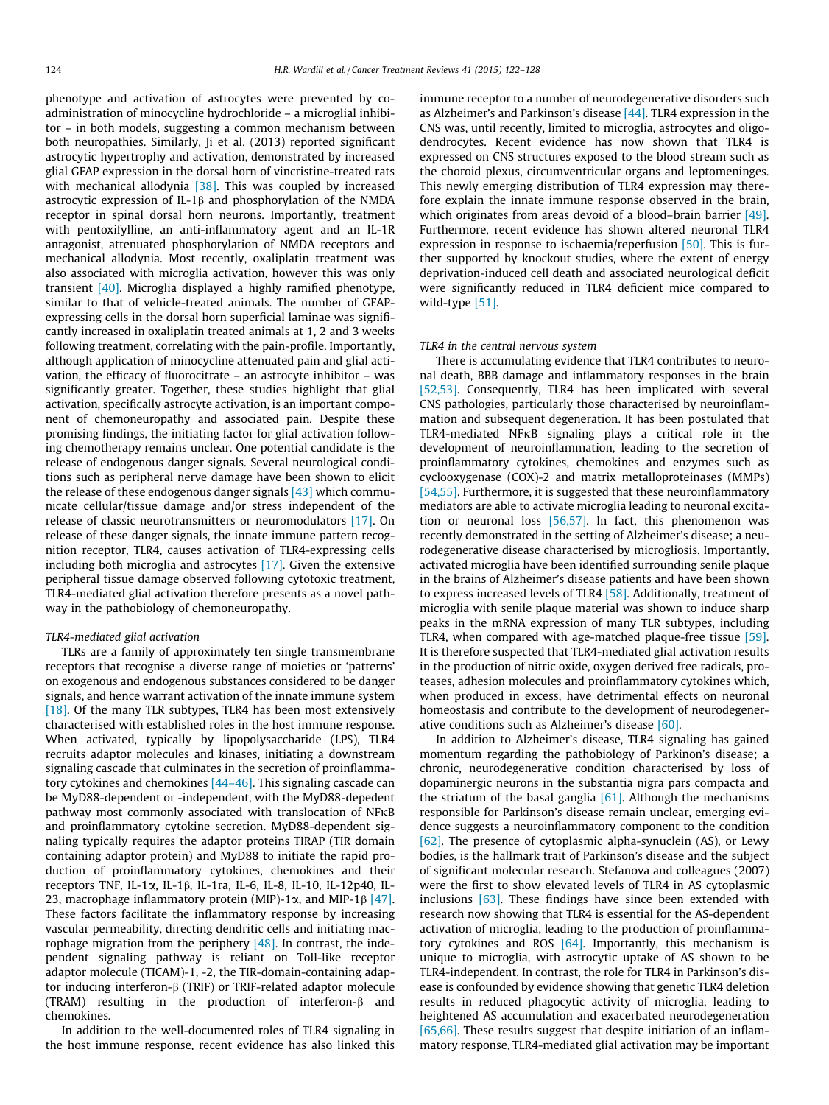phenotype and activation of astrocytes were prevented by coadministration of minocycline hydrochloride – a microglial inhibitor – in both models, suggesting a common mechanism between both neuropathies. Similarly, Ji et al. (2013) reported significant astrocytic hypertrophy and activation, demonstrated by increased glial GFAP expression in the dorsal horn of vincristine-treated rats with mechanical allodynia [\[38\].](#page-5-0) This was coupled by increased astrocytic expression of IL-1 $\beta$  and phosphorylation of the NMDA receptor in spinal dorsal horn neurons. Importantly, treatment with pentoxifylline, an anti-inflammatory agent and an IL-1R antagonist, attenuated phosphorylation of NMDA receptors and mechanical allodynia. Most recently, oxaliplatin treatment was also associated with microglia activation, however this was only transient [\[40\].](#page-5-0) Microglia displayed a highly ramified phenotype, similar to that of vehicle-treated animals. The number of GFAPexpressing cells in the dorsal horn superficial laminae was significantly increased in oxaliplatin treated animals at 1, 2 and 3 weeks following treatment, correlating with the pain-profile. Importantly, although application of minocycline attenuated pain and glial activation, the efficacy of fluorocitrate – an astrocyte inhibitor – was significantly greater. Together, these studies highlight that glial activation, specifically astrocyte activation, is an important component of chemoneuropathy and associated pain. Despite these promising findings, the initiating factor for glial activation following chemotherapy remains unclear. One potential candidate is the release of endogenous danger signals. Several neurological conditions such as peripheral nerve damage have been shown to elicit the release of these endogenous danger signals  $[43]$  which communicate cellular/tissue damage and/or stress independent of the release of classic neurotransmitters or neuromodulators [\[17\].](#page-5-0) On release of these danger signals, the innate immune pattern recognition receptor, TLR4, causes activation of TLR4-expressing cells including both microglia and astrocytes [\[17\]](#page-5-0). Given the extensive peripheral tissue damage observed following cytotoxic treatment, TLR4-mediated glial activation therefore presents as a novel pathway in the pathobiology of chemoneuropathy.

#### TLR4-mediated glial activation

TLRs are a family of approximately ten single transmembrane receptors that recognise a diverse range of moieties or 'patterns' on exogenous and endogenous substances considered to be danger signals, and hence warrant activation of the innate immune system [\[18\]](#page-5-0). Of the many TLR subtypes, TLR4 has been most extensively characterised with established roles in the host immune response. When activated, typically by lipopolysaccharide (LPS), TLR4 recruits adaptor molecules and kinases, initiating a downstream signaling cascade that culminates in the secretion of proinflammatory cytokines and chemokines [\[44–46\]](#page-5-0). This signaling cascade can be MyD88-dependent or -independent, with the MyD88-depedent pathway most commonly associated with translocation of NFKB and proinflammatory cytokine secretion. MyD88-dependent signaling typically requires the adaptor proteins TIRAP (TIR domain containing adaptor protein) and MyD88 to initiate the rapid production of proinflammatory cytokines, chemokines and their receptors TNF, IL-1a, IL-1b, IL-1ra, IL-6, IL-8, IL-10, IL-12p40, IL-23, macrophage inflammatory protein (MIP)-1 $\alpha$ , and MIP-1 $\beta$  [\[47\].](#page-5-0) These factors facilitate the inflammatory response by increasing vascular permeability, directing dendritic cells and initiating macrophage migration from the periphery  $[48]$ . In contrast, the independent signaling pathway is reliant on Toll-like receptor adaptor molecule (TICAM)-1, -2, the TIR-domain-containing adaptor inducing interferon-b (TRIF) or TRIF-related adaptor molecule (TRAM) resulting in the production of interferon- $\beta$  and chemokines.

In addition to the well-documented roles of TLR4 signaling in the host immune response, recent evidence has also linked this immune receptor to a number of neurodegenerative disorders such as Alzheimer's and Parkinson's disease [\[44\].](#page-5-0) TLR4 expression in the CNS was, until recently, limited to microglia, astrocytes and oligodendrocytes. Recent evidence has now shown that TLR4 is expressed on CNS structures exposed to the blood stream such as the choroid plexus, circumventricular organs and leptomeninges. This newly emerging distribution of TLR4 expression may therefore explain the innate immune response observed in the brain, which originates from areas devoid of a blood–brain barrier [\[49\].](#page-5-0) Furthermore, recent evidence has shown altered neuronal TLR4 expression in response to ischaemia/reperfusion [\[50\].](#page-5-0) This is further supported by knockout studies, where the extent of energy deprivation-induced cell death and associated neurological deficit were significantly reduced in TLR4 deficient mice compared to wild-type [\[51\].](#page-5-0)

# TLR4 in the central nervous system

There is accumulating evidence that TLR4 contributes to neuronal death, BBB damage and inflammatory responses in the brain [\[52,53\].](#page-6-0) Consequently, TLR4 has been implicated with several CNS pathologies, particularly those characterised by neuroinflammation and subsequent degeneration. It has been postulated that  $TLR4$ -mediated NF $\kappa$ B signaling plays a critical role in the development of neuroinflammation, leading to the secretion of proinflammatory cytokines, chemokines and enzymes such as cyclooxygenase (COX)-2 and matrix metalloproteinases (MMPs) [\[54,55\].](#page-6-0) Furthermore, it is suggested that these neuroinflammatory mediators are able to activate microglia leading to neuronal excitation or neuronal loss [\[56,57\]](#page-6-0). In fact, this phenomenon was recently demonstrated in the setting of Alzheimer's disease; a neurodegenerative disease characterised by microgliosis. Importantly, activated microglia have been identified surrounding senile plaque in the brains of Alzheimer's disease patients and have been shown to express increased levels of TLR4 [\[58\].](#page-6-0) Additionally, treatment of microglia with senile plaque material was shown to induce sharp peaks in the mRNA expression of many TLR subtypes, including TLR4, when compared with age-matched plaque-free tissue [\[59\].](#page-6-0) It is therefore suspected that TLR4-mediated glial activation results in the production of nitric oxide, oxygen derived free radicals, proteases, adhesion molecules and proinflammatory cytokines which, when produced in excess, have detrimental effects on neuronal homeostasis and contribute to the development of neurodegenerative conditions such as Alzheimer's disease [\[60\].](#page-6-0)

In addition to Alzheimer's disease, TLR4 signaling has gained momentum regarding the pathobiology of Parkinon's disease; a chronic, neurodegenerative condition characterised by loss of dopaminergic neurons in the substantia nigra pars compacta and the striatum of the basal ganglia  $[61]$ . Although the mechanisms responsible for Parkinson's disease remain unclear, emerging evidence suggests a neuroinflammatory component to the condition  $[62]$ . The presence of cytoplasmic alpha-synuclein (AS), or Lewy bodies, is the hallmark trait of Parkinson's disease and the subject of significant molecular research. Stefanova and colleagues (2007) were the first to show elevated levels of TLR4 in AS cytoplasmic inclusions [\[63\].](#page-6-0) These findings have since been extended with research now showing that TLR4 is essential for the AS-dependent activation of microglia, leading to the production of proinflammatory cytokines and ROS  $[64]$ . Importantly, this mechanism is unique to microglia, with astrocytic uptake of AS shown to be TLR4-independent. In contrast, the role for TLR4 in Parkinson's disease is confounded by evidence showing that genetic TLR4 deletion results in reduced phagocytic activity of microglia, leading to heightened AS accumulation and exacerbated neurodegeneration [\[65,66\].](#page-6-0) These results suggest that despite initiation of an inflammatory response, TLR4-mediated glial activation may be important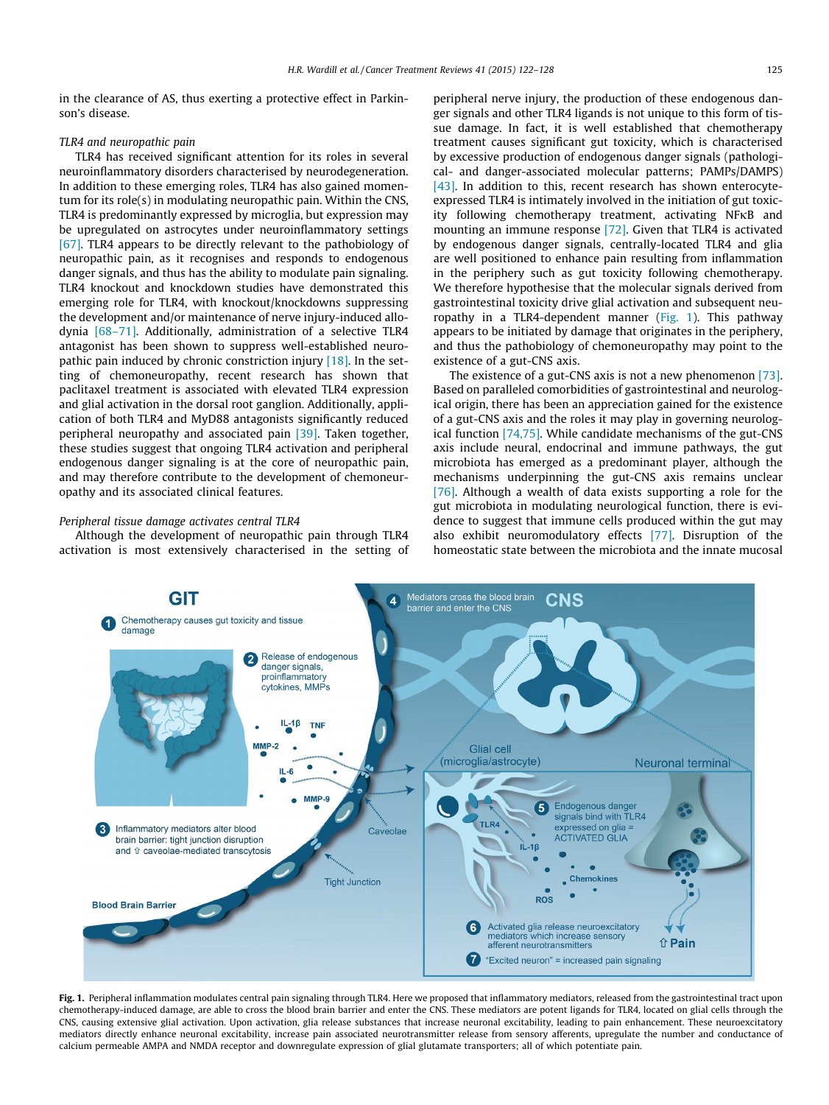in the clearance of AS, thus exerting a protective effect in Parkinson's disease.

### TLR4 and neuropathic pain

TLR4 has received significant attention for its roles in several neuroinflammatory disorders characterised by neurodegeneration. In addition to these emerging roles, TLR4 has also gained momentum for its role(s) in modulating neuropathic pain. Within the CNS, TLR4 is predominantly expressed by microglia, but expression may be upregulated on astrocytes under neuroinflammatory settings [\[67\].](#page-6-0) TLR4 appears to be directly relevant to the pathobiology of neuropathic pain, as it recognises and responds to endogenous danger signals, and thus has the ability to modulate pain signaling. TLR4 knockout and knockdown studies have demonstrated this emerging role for TLR4, with knockout/knockdowns suppressing the development and/or maintenance of nerve injury-induced allodynia [\[68–71\].](#page-6-0) Additionally, administration of a selective TLR4 antagonist has been shown to suppress well-established neuropathic pain induced by chronic constriction injury  $[18]$ . In the setting of chemoneuropathy, recent research has shown that paclitaxel treatment is associated with elevated TLR4 expression and glial activation in the dorsal root ganglion. Additionally, application of both TLR4 and MyD88 antagonists significantly reduced peripheral neuropathy and associated pain [\[39\]](#page-5-0). Taken together, these studies suggest that ongoing TLR4 activation and peripheral endogenous danger signaling is at the core of neuropathic pain, and may therefore contribute to the development of chemoneuropathy and its associated clinical features.

#### Peripheral tissue damage activates central TLR4

Although the development of neuropathic pain through TLR4 activation is most extensively characterised in the setting of peripheral nerve injury, the production of these endogenous danger signals and other TLR4 ligands is not unique to this form of tissue damage. In fact, it is well established that chemotherapy treatment causes significant gut toxicity, which is characterised by excessive production of endogenous danger signals (pathological- and danger-associated molecular patterns; PAMPs/DAMPS) [\[43\]](#page-5-0). In addition to this, recent research has shown enterocyteexpressed TLR4 is intimately involved in the initiation of gut toxicity following chemotherapy treatment, activating NFKB and mounting an immune response [\[72\].](#page-6-0) Given that TLR4 is activated by endogenous danger signals, centrally-located TLR4 and glia are well positioned to enhance pain resulting from inflammation in the periphery such as gut toxicity following chemotherapy. We therefore hypothesise that the molecular signals derived from gastrointestinal toxicity drive glial activation and subsequent neuropathy in a TLR4-dependent manner ( $Fig. 1$ ). This pathway appears to be initiated by damage that originates in the periphery, and thus the pathobiology of chemoneuropathy may point to the existence of a gut-CNS axis.

The existence of a gut-CNS axis is not a new phenomenon [\[73\].](#page-6-0) Based on paralleled comorbidities of gastrointestinal and neurological origin, there has been an appreciation gained for the existence of a gut-CNS axis and the roles it may play in governing neurological function [\[74,75\]](#page-6-0). While candidate mechanisms of the gut-CNS axis include neural, endocrinal and immune pathways, the gut microbiota has emerged as a predominant player, although the mechanisms underpinning the gut-CNS axis remains unclear [\[76\]](#page-6-0). Although a wealth of data exists supporting a role for the gut microbiota in modulating neurological function, there is evidence to suggest that immune cells produced within the gut may also exhibit neuromodulatory effects [\[77\]](#page-6-0). Disruption of the homeostatic state between the microbiota and the innate mucosal



Fig. 1. Peripheral inflammation modulates central pain signaling through TLR4. Here we proposed that inflammatory mediators, released from the gastrointestinal tract upon chemotherapy-induced damage, are able to cross the blood brain barrier and enter the CNS. These mediators are potent ligands for TLR4, located on glial cells through the CNS, causing extensive glial activation. Upon activation, glia release substances that increase neuronal excitability, leading to pain enhancement. These neuroexcitatory mediators directly enhance neuronal excitability, increase pain associated neurotransmitter release from sensory afferents, upregulate the number and conductance of calcium permeable AMPA and NMDA receptor and downregulate expression of glial glutamate transporters; all of which potentiate pain.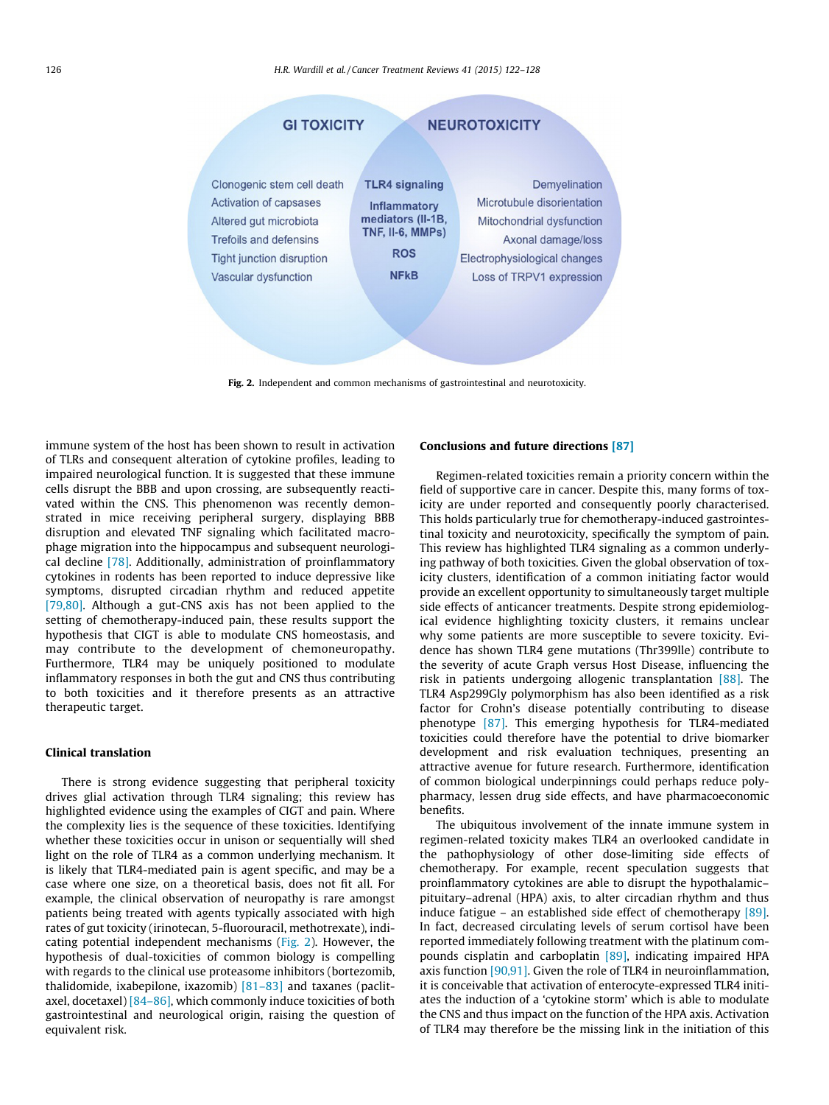

Fig. 2. Independent and common mechanisms of gastrointestinal and neurotoxicity.

immune system of the host has been shown to result in activation of TLRs and consequent alteration of cytokine profiles, leading to impaired neurological function. It is suggested that these immune cells disrupt the BBB and upon crossing, are subsequently reactivated within the CNS. This phenomenon was recently demonstrated in mice receiving peripheral surgery, displaying BBB disruption and elevated TNF signaling which facilitated macrophage migration into the hippocampus and subsequent neurological decline [\[78\].](#page-6-0) Additionally, administration of proinflammatory cytokines in rodents has been reported to induce depressive like symptoms, disrupted circadian rhythm and reduced appetite [\[79,80\].](#page-6-0) Although a gut-CNS axis has not been applied to the setting of chemotherapy-induced pain, these results support the hypothesis that CIGT is able to modulate CNS homeostasis, and may contribute to the development of chemoneuropathy. Furthermore, TLR4 may be uniquely positioned to modulate inflammatory responses in both the gut and CNS thus contributing to both toxicities and it therefore presents as an attractive therapeutic target.

### Clinical translation

There is strong evidence suggesting that peripheral toxicity drives glial activation through TLR4 signaling; this review has highlighted evidence using the examples of CIGT and pain. Where the complexity lies is the sequence of these toxicities. Identifying whether these toxicities occur in unison or sequentially will shed light on the role of TLR4 as a common underlying mechanism. It is likely that TLR4-mediated pain is agent specific, and may be a case where one size, on a theoretical basis, does not fit all. For example, the clinical observation of neuropathy is rare amongst patients being treated with agents typically associated with high rates of gut toxicity (irinotecan, 5-fluorouracil, methotrexate), indicating potential independent mechanisms (Fig. 2). However, the hypothesis of dual-toxicities of common biology is compelling with regards to the clinical use proteasome inhibitors (bortezomib, thalidomide, ixabepilone, ixazomib)  $[81-83]$  and taxanes (paclitaxel, docetaxel) [\[84–86\],](#page-6-0) which commonly induce toxicities of both gastrointestinal and neurological origin, raising the question of equivalent risk.

## Conclusions and future directions [\[87\]](#page-6-0)

Regimen-related toxicities remain a priority concern within the field of supportive care in cancer. Despite this, many forms of toxicity are under reported and consequently poorly characterised. This holds particularly true for chemotherapy-induced gastrointestinal toxicity and neurotoxicity, specifically the symptom of pain. This review has highlighted TLR4 signaling as a common underlying pathway of both toxicities. Given the global observation of toxicity clusters, identification of a common initiating factor would provide an excellent opportunity to simultaneously target multiple side effects of anticancer treatments. Despite strong epidemiological evidence highlighting toxicity clusters, it remains unclear why some patients are more susceptible to severe toxicity. Evidence has shown TLR4 gene mutations (Thr399lle) contribute to the severity of acute Graph versus Host Disease, influencing the risk in patients undergoing allogenic transplantation  $[88]$ . The TLR4 Asp299Gly polymorphism has also been identified as a risk factor for Crohn's disease potentially contributing to disease phenotype [\[87\].](#page-6-0) This emerging hypothesis for TLR4-mediated toxicities could therefore have the potential to drive biomarker development and risk evaluation techniques, presenting an attractive avenue for future research. Furthermore, identification of common biological underpinnings could perhaps reduce polypharmacy, lessen drug side effects, and have pharmacoeconomic benefits.

The ubiquitous involvement of the innate immune system in regimen-related toxicity makes TLR4 an overlooked candidate in the pathophysiology of other dose-limiting side effects of chemotherapy. For example, recent speculation suggests that proinflammatory cytokines are able to disrupt the hypothalamic– pituitary–adrenal (HPA) axis, to alter circadian rhythm and thus induce fatigue – an established side effect of chemotherapy [\[89\].](#page-6-0) In fact, decreased circulating levels of serum cortisol have been reported immediately following treatment with the platinum compounds cisplatin and carboplatin [\[89\],](#page-6-0) indicating impaired HPA axis function [\[90,91\]](#page-6-0). Given the role of TLR4 in neuroinflammation, it is conceivable that activation of enterocyte-expressed TLR4 initiates the induction of a 'cytokine storm' which is able to modulate the CNS and thus impact on the function of the HPA axis. Activation of TLR4 may therefore be the missing link in the initiation of this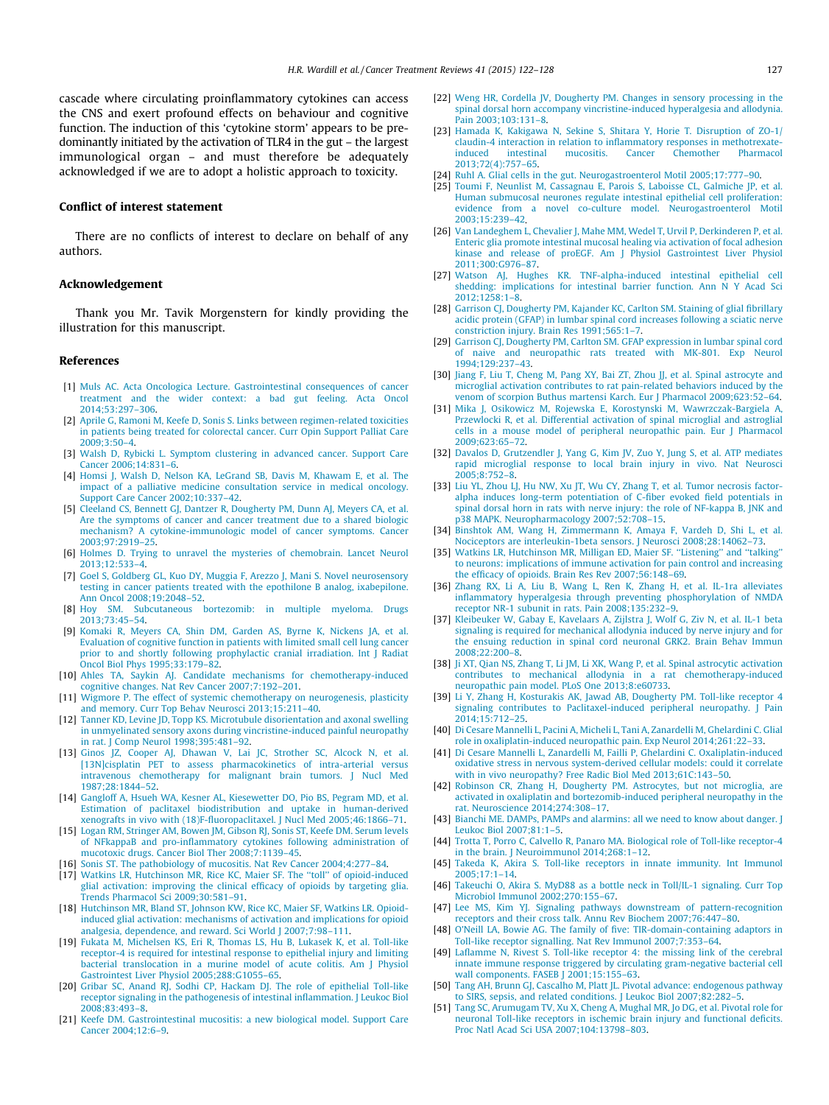<span id="page-5-0"></span>cascade where circulating proinflammatory cytokines can access the CNS and exert profound effects on behaviour and cognitive function. The induction of this 'cytokine storm' appears to be predominantly initiated by the activation of TLR4 in the gut – the largest immunological organ – and must therefore be adequately acknowledged if we are to adopt a holistic approach to toxicity.

## Conflict of interest statement

There are no conflicts of interest to declare on behalf of any authors.

## Acknowledgement

Thank you Mr. Tavik Morgenstern for kindly providing the illustration for this manuscript.

#### References

- [1] [Muls AC. Acta Oncologica Lecture. Gastrointestinal consequences of cancer](http://refhub.elsevier.com/S0305-7372(14)00191-1/h0005) [treatment and the wider context: a bad gut feeling. Acta Oncol](http://refhub.elsevier.com/S0305-7372(14)00191-1/h0005) [2014;53:297–306.](http://refhub.elsevier.com/S0305-7372(14)00191-1/h0005)
- [2] [Aprile G, Ramoni M, Keefe D, Sonis S. Links between regimen-related toxicities](http://refhub.elsevier.com/S0305-7372(14)00191-1/h0010) [in patients being treated for colorectal cancer. Curr Opin Support Palliat Care](http://refhub.elsevier.com/S0305-7372(14)00191-1/h0010) [2009;3:50–4](http://refhub.elsevier.com/S0305-7372(14)00191-1/h0010).
- [3] [Walsh D, Rybicki L. Symptom clustering in advanced cancer. Support Care](http://refhub.elsevier.com/S0305-7372(14)00191-1/h0015) [Cancer 2006;14:831–6.](http://refhub.elsevier.com/S0305-7372(14)00191-1/h0015)
- [4] [Homsi J, Walsh D, Nelson KA, LeGrand SB, Davis M, Khawam E, et al. The](http://refhub.elsevier.com/S0305-7372(14)00191-1/h0020) [impact of a palliative medicine consultation service in medical oncology.](http://refhub.elsevier.com/S0305-7372(14)00191-1/h0020) [Support Care Cancer 2002;10:337–42](http://refhub.elsevier.com/S0305-7372(14)00191-1/h0020).
- [5] [Cleeland CS, Bennett GJ, Dantzer R, Dougherty PM, Dunn AJ, Meyers CA, et al.](http://refhub.elsevier.com/S0305-7372(14)00191-1/h0025) [Are the symptoms of cancer and cancer treatment due to a shared biologic](http://refhub.elsevier.com/S0305-7372(14)00191-1/h0025) [mechanism? A cytokine-immunologic model of cancer symptoms. Cancer](http://refhub.elsevier.com/S0305-7372(14)00191-1/h0025) [2003;97:2919–25.](http://refhub.elsevier.com/S0305-7372(14)00191-1/h0025)
- [6] [Holmes D. Trying to unravel the mysteries of chemobrain. Lancet Neurol](http://refhub.elsevier.com/S0305-7372(14)00191-1/h0030) [2013;12:533–4](http://refhub.elsevier.com/S0305-7372(14)00191-1/h0030).
- [7] [Goel S, Goldberg GL, Kuo DY, Muggia F, Arezzo J, Mani S. Novel neurosensory](http://refhub.elsevier.com/S0305-7372(14)00191-1/h0035) [testing in cancer patients treated with the epothilone B analog, ixabepilone.](http://refhub.elsevier.com/S0305-7372(14)00191-1/h0035) [Ann Oncol 2008;19:2048–52](http://refhub.elsevier.com/S0305-7372(14)00191-1/h0035).
- [8] [Hoy SM. Subcutaneous bortezomib: in multiple myeloma. Drugs](http://refhub.elsevier.com/S0305-7372(14)00191-1/h0040) [2013;73:45–54](http://refhub.elsevier.com/S0305-7372(14)00191-1/h0040).
- [9] [Komaki R, Meyers CA, Shin DM, Garden AS, Byrne K, Nickens JA, et al.](http://refhub.elsevier.com/S0305-7372(14)00191-1/h0045) [Evaluation of cognitive function in patients with limited small cell lung cancer](http://refhub.elsevier.com/S0305-7372(14)00191-1/h0045) [prior to and shortly following prophylactic cranial irradiation. Int J Radiat](http://refhub.elsevier.com/S0305-7372(14)00191-1/h0045) [Oncol Biol Phys 1995;33:179–82.](http://refhub.elsevier.com/S0305-7372(14)00191-1/h0045)
- [10] [Ahles TA, Saykin AJ. Candidate mechanisms for chemotherapy-induced](http://refhub.elsevier.com/S0305-7372(14)00191-1/h0050) [cognitive changes. Nat Rev Cancer 2007;7:192–201.](http://refhub.elsevier.com/S0305-7372(14)00191-1/h0050)
- [11] [Wigmore P. The effect of systemic chemotherapy on neurogenesis, plasticity](http://refhub.elsevier.com/S0305-7372(14)00191-1/h0055) [and memory. Curr Top Behav Neurosci 2013;15:211–40.](http://refhub.elsevier.com/S0305-7372(14)00191-1/h0055)
- [12] [Tanner KD, Levine JD, Topp KS. Microtubule disorientation and axonal swelling](http://refhub.elsevier.com/S0305-7372(14)00191-1/h0060) [in unmyelinated sensory axons during vincristine-induced painful neuropathy](http://refhub.elsevier.com/S0305-7372(14)00191-1/h0060) [in rat. J Comp Neurol 1998;395:481–92](http://refhub.elsevier.com/S0305-7372(14)00191-1/h0060).
- [13] [Ginos JZ, Cooper AJ, Dhawan V, Lai JC, Strother SC, Alcock N, et al.](http://refhub.elsevier.com/S0305-7372(14)00191-1/h0065) [\[13N\]cisplatin PET to assess pharmacokinetics of intra-arterial versus](http://refhub.elsevier.com/S0305-7372(14)00191-1/h0065) [intravenous chemotherapy for malignant brain tumors. J Nucl Med](http://refhub.elsevier.com/S0305-7372(14)00191-1/h0065) [1987;28:1844–52](http://refhub.elsevier.com/S0305-7372(14)00191-1/h0065).
- [14] [Gangloff A, Hsueh WA, Kesner AL, Kiesewetter DO, Pio BS, Pegram MD, et al.](http://refhub.elsevier.com/S0305-7372(14)00191-1/h0070) [Estimation of paclitaxel biodistribution and uptake in human-derived](http://refhub.elsevier.com/S0305-7372(14)00191-1/h0070) [xenografts in vivo with \(18\)F-fluoropaclitaxel. J Nucl Med 2005;46:1866–71](http://refhub.elsevier.com/S0305-7372(14)00191-1/h0070).
- [15] [Logan RM, Stringer AM, Bowen JM, Gibson RJ, Sonis ST, Keefe DM. Serum levels](http://refhub.elsevier.com/S0305-7372(14)00191-1/h0075) [of NFkappaB and pro-inflammatory cytokines following administration of](http://refhub.elsevier.com/S0305-7372(14)00191-1/h0075) [mucotoxic drugs. Cancer Biol Ther 2008;7:1139–45](http://refhub.elsevier.com/S0305-7372(14)00191-1/h0075).
- [16] [Sonis ST. The pathobiology of mucositis. Nat Rev Cancer 2004;4:277–84.](http://refhub.elsevier.com/S0305-7372(14)00191-1/h0080)
- [17] [Watkins LR, Hutchinson MR, Rice KC, Maier SF. The ''toll'' of opioid-induced](http://refhub.elsevier.com/S0305-7372(14)00191-1/h0085) [glial activation: improving the clinical efficacy of opioids by targeting glia.](http://refhub.elsevier.com/S0305-7372(14)00191-1/h0085) [Trends Pharmacol Sci 2009;30:581–91.](http://refhub.elsevier.com/S0305-7372(14)00191-1/h0085)
- [18] [Hutchinson MR, Bland ST, Johnson KW, Rice KC, Maier SF, Watkins LR. Opioid](http://refhub.elsevier.com/S0305-7372(14)00191-1/h0090)[induced glial activation: mechanisms of activation and implications for opioid](http://refhub.elsevier.com/S0305-7372(14)00191-1/h0090) [analgesia, dependence, and reward. Sci World J 2007;7:98–111.](http://refhub.elsevier.com/S0305-7372(14)00191-1/h0090)
- [19] [Fukata M, Michelsen KS, Eri R, Thomas LS, Hu B, Lukasek K, et al. Toll-like](http://refhub.elsevier.com/S0305-7372(14)00191-1/h0095) [receptor-4 is required for intestinal response to epithelial injury and limiting](http://refhub.elsevier.com/S0305-7372(14)00191-1/h0095) [bacterial translocation in a murine model of acute colitis. Am J Physiol](http://refhub.elsevier.com/S0305-7372(14)00191-1/h0095) [Gastrointest Liver Physiol 2005;288:G1055–65.](http://refhub.elsevier.com/S0305-7372(14)00191-1/h0095)
- [20] [Gribar SC, Anand RJ, Sodhi CP, Hackam DJ. The role of epithelial Toll-like](http://refhub.elsevier.com/S0305-7372(14)00191-1/h0100) [receptor signaling in the pathogenesis of intestinal inflammation. J Leukoc Biol](http://refhub.elsevier.com/S0305-7372(14)00191-1/h0100) [2008;83:493–8.](http://refhub.elsevier.com/S0305-7372(14)00191-1/h0100)
- [21] [Keefe DM. Gastrointestinal mucositis: a new biological model. Support Care](http://refhub.elsevier.com/S0305-7372(14)00191-1/h0105) [Cancer 2004;12:6–9.](http://refhub.elsevier.com/S0305-7372(14)00191-1/h0105)
- [22] [Weng HR, Cordella JV, Dougherty PM. Changes in sensory processing in the](http://refhub.elsevier.com/S0305-7372(14)00191-1/h0110) [spinal dorsal horn accompany vincristine-induced hyperalgesia and allodynia.](http://refhub.elsevier.com/S0305-7372(14)00191-1/h0110) [Pain 2003;103:131–8](http://refhub.elsevier.com/S0305-7372(14)00191-1/h0110).
- [23] [Hamada K, Kakigawa N, Sekine S, Shitara Y, Horie T. Disruption of ZO-1/](http://refhub.elsevier.com/S0305-7372(14)00191-1/h0460) [claudin-4 interaction in relation to inflammatory responses in methotrexate-](http://refhub.elsevier.com/S0305-7372(14)00191-1/h0460)Chemother [2013;72\(4\):757–65](http://refhub.elsevier.com/S0305-7372(14)00191-1/h0460).
- [24] Ruhl A. Glial cells in the gut. Neurogastroenterol Motil 2005;17:777-90.
- [25] [Toumi F, Neunlist M, Cassagnau E, Parois S, Laboisse CL, Galmiche JP, et al.](http://refhub.elsevier.com/S0305-7372(14)00191-1/h0125) [Human submucosal neurones regulate intestinal epithelial cell proliferation:](http://refhub.elsevier.com/S0305-7372(14)00191-1/h0125) [evidence from a novel co-culture model. Neurogastroenterol Motil](http://refhub.elsevier.com/S0305-7372(14)00191-1/h0125) [2003;15:239–42](http://refhub.elsevier.com/S0305-7372(14)00191-1/h0125).
- [26] [Van Landeghem L, Chevalier J, Mahe MM, Wedel T, Urvil P, Derkinderen P, et al.](http://refhub.elsevier.com/S0305-7372(14)00191-1/h0130) [Enteric glia promote intestinal mucosal healing via activation of focal adhesion](http://refhub.elsevier.com/S0305-7372(14)00191-1/h0130) [kinase and release of proEGF. Am J Physiol Gastrointest Liver Physiol](http://refhub.elsevier.com/S0305-7372(14)00191-1/h0130) [2011;300:G976–87.](http://refhub.elsevier.com/S0305-7372(14)00191-1/h0130)
- [27] [Watson AJ, Hughes KR. TNF-alpha-induced intestinal epithelial cell](http://refhub.elsevier.com/S0305-7372(14)00191-1/h0135) [shedding: implications for intestinal barrier function. Ann N Y Acad Sci](http://refhub.elsevier.com/S0305-7372(14)00191-1/h0135) [2012;1258:1–8.](http://refhub.elsevier.com/S0305-7372(14)00191-1/h0135)
- [28] Garrison CJ, Dougherty PM, Kajander KC, Carlton SM, Staining of glial fibrillary [acidic protein \(GFAP\) in lumbar spinal cord increases following a sciatic nerve](http://refhub.elsevier.com/S0305-7372(14)00191-1/h0140) [constriction injury. Brain Res 1991;565:1–7](http://refhub.elsevier.com/S0305-7372(14)00191-1/h0140).
- [29] [Garrison CJ, Dougherty PM, Carlton SM. GFAP expression in lumbar spinal cord](http://refhub.elsevier.com/S0305-7372(14)00191-1/h0145) [of naive and neuropathic rats treated with MK-801. Exp Neurol](http://refhub.elsevier.com/S0305-7372(14)00191-1/h0145) [1994;129:237–43](http://refhub.elsevier.com/S0305-7372(14)00191-1/h0145).
- [30] [Jiang F, Liu T, Cheng M, Pang XY, Bai ZT, Zhou JJ, et al. Spinal astrocyte and](http://refhub.elsevier.com/S0305-7372(14)00191-1/h0150) [microglial activation contributes to rat pain-related behaviors induced by the](http://refhub.elsevier.com/S0305-7372(14)00191-1/h0150) [venom of scorpion Buthus martensi Karch. Eur J Pharmacol 2009;623:52–64](http://refhub.elsevier.com/S0305-7372(14)00191-1/h0150).
- [31] [Mika J, Osikowicz M, Rojewska E, Korostynski M, Wawrzczak-Bargiela A,](http://refhub.elsevier.com/S0305-7372(14)00191-1/h0155) [Przewlocki R, et al. Differential activation of spinal microglial and astroglial](http://refhub.elsevier.com/S0305-7372(14)00191-1/h0155) [cells in a mouse model of peripheral neuropathic pain. Eur J Pharmacol](http://refhub.elsevier.com/S0305-7372(14)00191-1/h0155) [2009;623:65–72](http://refhub.elsevier.com/S0305-7372(14)00191-1/h0155).
- [32] [Davalos D, Grutzendler J, Yang G, Kim JV, Zuo Y, Jung S, et al. ATP mediates](http://refhub.elsevier.com/S0305-7372(14)00191-1/h0160) [rapid microglial response to local brain injury in vivo. Nat Neurosci](http://refhub.elsevier.com/S0305-7372(14)00191-1/h0160)  $2005:8:752-8$
- [33] [Liu YL, Zhou LJ, Hu NW, Xu JT, Wu CY, Zhang T, et al. Tumor necrosis factor](http://refhub.elsevier.com/S0305-7372(14)00191-1/h0165)[alpha induces long-term potentiation of C-fiber evoked field potentials in](http://refhub.elsevier.com/S0305-7372(14)00191-1/h0165) [spinal dorsal horn in rats with nerve injury: the role of NF-kappa B, JNK and](http://refhub.elsevier.com/S0305-7372(14)00191-1/h0165) [p38 MAPK. Neuropharmacology 2007;52:708–15.](http://refhub.elsevier.com/S0305-7372(14)00191-1/h0165)
- [34] [Binshtok AM, Wang H, Zimmermann K, Amaya F, Vardeh D, Shi L, et al.](http://refhub.elsevier.com/S0305-7372(14)00191-1/h0170) [Nociceptors are interleukin-1beta sensors. J Neurosci 2008;28:14062–73.](http://refhub.elsevier.com/S0305-7372(14)00191-1/h0170)
- [35] Watkins LR, Hutchinson MR, Milligan ED, Maier SF. "Listening" and "talking' [to neurons: implications of immune activation for pain control and increasing](http://refhub.elsevier.com/S0305-7372(14)00191-1/h0175) [the efficacy of opioids. Brain Res Rev 2007;56:148–69.](http://refhub.elsevier.com/S0305-7372(14)00191-1/h0175)
- [36] [Zhang RX, Li A, Liu B, Wang L, Ren K, Zhang H, et al. IL-1ra alleviates](http://refhub.elsevier.com/S0305-7372(14)00191-1/h0180) [inflammatory hyperalgesia through preventing phosphorylation of NMDA](http://refhub.elsevier.com/S0305-7372(14)00191-1/h0180) [receptor NR-1 subunit in rats. Pain 2008;135:232–9.](http://refhub.elsevier.com/S0305-7372(14)00191-1/h0180)
- [37] [Kleibeuker W, Gabay E, Kavelaars A, Zijlstra J, Wolf G, Ziv N, et al. IL-1 beta](http://refhub.elsevier.com/S0305-7372(14)00191-1/h0185) [signaling is required for mechanical allodynia induced by nerve injury and for](http://refhub.elsevier.com/S0305-7372(14)00191-1/h0185) [the ensuing reduction in spinal cord neuronal GRK2. Brain Behav Immun](http://refhub.elsevier.com/S0305-7372(14)00191-1/h0185) [2008;22:200–8](http://refhub.elsevier.com/S0305-7372(14)00191-1/h0185).
- [38] [Ji XT, Qian NS, Zhang T, Li JM, Li XK, Wang P, et al. Spinal astrocytic activation](http://refhub.elsevier.com/S0305-7372(14)00191-1/h0190) [contributes to mechanical allodynia in a rat chemotherapy-induced](http://refhub.elsevier.com/S0305-7372(14)00191-1/h0190) [neuropathic pain model. PLoS One 2013;8:e60733](http://refhub.elsevier.com/S0305-7372(14)00191-1/h0190).
- [39] [Li Y, Zhang H, Kosturakis AK, Jawad AB, Dougherty PM. Toll-like receptor 4](http://refhub.elsevier.com/S0305-7372(14)00191-1/h0195) [signaling contributes to Paclitaxel-induced peripheral neuropathy. J Pain](http://refhub.elsevier.com/S0305-7372(14)00191-1/h0195) [2014;15:712–25](http://refhub.elsevier.com/S0305-7372(14)00191-1/h0195).
- [40] [Di Cesare Mannelli L, Pacini A, Micheli L, Tani A, Zanardelli M, Ghelardini C. Glial](http://refhub.elsevier.com/S0305-7372(14)00191-1/h0465) [role in oxaliplatin-induced neuropathic pain. Exp Neurol 2014;261:22–33](http://refhub.elsevier.com/S0305-7372(14)00191-1/h0465).
- [41] [Di Cesare Mannelli L, Zanardelli M, Failli P, Ghelardini C. Oxaliplatin-induced](http://refhub.elsevier.com/S0305-7372(14)00191-1/h0470) [oxidative stress in nervous system-derived cellular models: could it correlate](http://refhub.elsevier.com/S0305-7372(14)00191-1/h0470) [with in vivo neuropathy? Free Radic Biol Med 2013;61C:143–50.](http://refhub.elsevier.com/S0305-7372(14)00191-1/h0470)
- [42] [Robinson CR, Zhang H, Dougherty PM. Astrocytes, but not microglia, are](http://refhub.elsevier.com/S0305-7372(14)00191-1/h0210) [activated in oxaliplatin and bortezomib-induced peripheral neuropathy in the](http://refhub.elsevier.com/S0305-7372(14)00191-1/h0210) [rat. Neuroscience 2014;274:308–17](http://refhub.elsevier.com/S0305-7372(14)00191-1/h0210).
- [43] Bianchi ME. DAMPs, PAMPs and alarmins: all we need to know about danger. I [Leukoc Biol 2007;81:1–5.](http://refhub.elsevier.com/S0305-7372(14)00191-1/h0215)
- [44] [Trotta T, Porro C, Calvello R, Panaro MA. Biological role of Toll-like receptor-4](http://refhub.elsevier.com/S0305-7372(14)00191-1/h0220) [in the brain. J Neuroimmunol 2014;268:1–12.](http://refhub.elsevier.com/S0305-7372(14)00191-1/h0220)
- [45] [Takeda K, Akira S. Toll-like receptors in innate immunity. Int Immunol](http://refhub.elsevier.com/S0305-7372(14)00191-1/h0225) [2005;17:1–14.](http://refhub.elsevier.com/S0305-7372(14)00191-1/h0225)
- [46] [Takeuchi O, Akira S. MyD88 as a bottle neck in Toll/IL-1 signaling. Curr Top](http://refhub.elsevier.com/S0305-7372(14)00191-1/h0230) [Microbiol Immunol 2002;270:155–67](http://refhub.elsevier.com/S0305-7372(14)00191-1/h0230).
- [47] [Lee MS, Kim YJ. Signaling pathways downstream of pattern-recognition](http://refhub.elsevier.com/S0305-7372(14)00191-1/h0235) [receptors and their cross talk. Annu Rev Biochem 2007;76:447–80.](http://refhub.elsevier.com/S0305-7372(14)00191-1/h0235)
- [48] [O'Neill LA, Bowie AG. The family of five: TIR-domain-containing adaptors in](http://refhub.elsevier.com/S0305-7372(14)00191-1/h0240) [Toll-like receptor signalling. Nat Rev Immunol 2007;7:353–64.](http://refhub.elsevier.com/S0305-7372(14)00191-1/h0240)
- [49] [Laflamme N, Rivest S. Toll-like receptor 4: the missing link of the cerebral](http://refhub.elsevier.com/S0305-7372(14)00191-1/h0245) [innate immune response triggered by circulating gram-negative bacterial cell](http://refhub.elsevier.com/S0305-7372(14)00191-1/h0245) [wall components. FASEB J 2001;15:155–63](http://refhub.elsevier.com/S0305-7372(14)00191-1/h0245).
- [50] [Tang AH, Brunn GJ, Cascalho M, Platt JL. Pivotal advance: endogenous pathway](http://refhub.elsevier.com/S0305-7372(14)00191-1/h0250) [to SIRS, sepsis, and related conditions. J Leukoc Biol 2007;82:282–5](http://refhub.elsevier.com/S0305-7372(14)00191-1/h0250).
- [51] [Tang SC, Arumugam TV, Xu X, Cheng A, Mughal MR, Jo DG, et al. Pivotal role for](http://refhub.elsevier.com/S0305-7372(14)00191-1/h0255) [neuronal Toll-like receptors in ischemic brain injury and functional deficits.](http://refhub.elsevier.com/S0305-7372(14)00191-1/h0255) [Proc Natl Acad Sci USA 2007;104:13798–803.](http://refhub.elsevier.com/S0305-7372(14)00191-1/h0255)